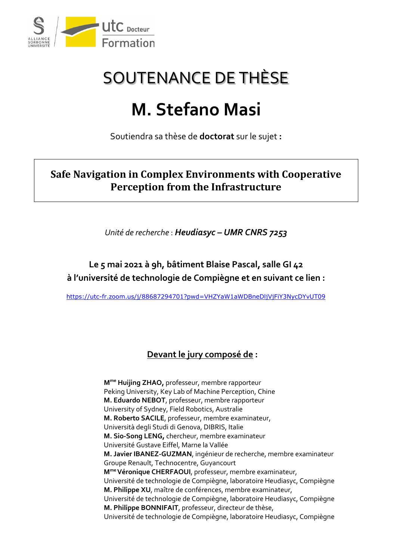

# SOUTENANCE DE THÈSE

# **M. Stefano Masi**

Soutiendra sa thèse de **doctorat** sur le sujet **:**

### **Safe Navigation in Complex Environments with Cooperative Perception from the Infrastructure**

*Unité de recherche* : *Heudiasyc – UMR CNRS 7253*

### **Le 5 mai 2021 à 9h, bâtiment Blaise Pascal, salle GI 42 à l'université de technologie de Compiègne et en suivant ce lien :**

<https://utc-fr.zoom.us/j/88687294701?pwd=VHZYaW1aWDBneDljVjFiY3NycDYvUT09>

#### **Devant le jury composé de :**

**Mme Huijing ZHAO,** professeur, membre rapporteur Peking University, Key Lab of Machine Perception, Chine **M. Eduardo NEBOT**, professeur, membre rapporteur University of Sydney, Field Robotics, Australie **M. Roberto SACILE**, professeur, membre examinateur, Università degli Studi di Genova, DIBRIS, Italie **M. Sio-Song LENG,** chercheur, membre examinateur Université Gustave Eiffel, Marne la Vallée **M. Javier IBANEZ-GUZMAN**, ingénieur de recherche, membre examinateur Groupe Renault, Technocentre, Guyancourt **Mme Véronique CHERFAOUI**, professeur, membre examinateur, Université de technologie de Compiègne, laboratoire Heudiasyc, Compiègne **M. Philippe XU**, maître de conférences, membre examinateur, Université de technologie de Compiègne, laboratoire Heudiasyc, Compiègne **M. Philippe BONNIFAIT**, professeur, directeur de thèse, Université de technologie de Compiègne, laboratoire Heudiasyc, Compiègne